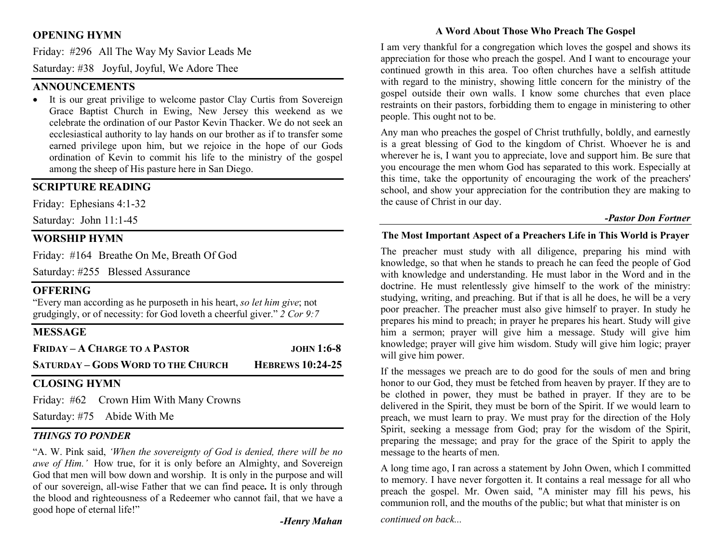# OPENING HYMN

Friday: #296 All The Way My Savior Leads Me

Saturday: #38 Joyful, Joyful, We Adore Thee

## **ANNOUNCEMENTS**

 It is our great privilige to welcome pastor Clay Curtis from Sovereign Grace Baptist Church in Ewing, New Jersey this weekend as we celebrate the ordination of our Pastor Kevin Thacker. We do not seek an ecclesiastical authority to lay hands on our brother as if to transfer some earned privilege upon him, but we rejoice in the hope of our Gods ordination of Kevin to commit his life to the ministry of the gospel among the sheep of His pasture here in San Diego.

# SCRIPTURE READING

Friday: Ephesians 4:1-32

Saturday: John 11:1-45

## WORSHIP HYMN

Friday: #164 Breathe On Me, Breath Of God

Saturday: #255 Blessed Assurance

## **OFFERING**

"Every man according as he purposeth in his heart, so let him give; not grudgingly, or of necessity: for God loveth a cheerful giver."  $2$  Cor 9:7

# **MESSAGE**

| <b>FRIDAY - A CHARGE TO A PASTOR</b>      | $JOHN 1:6-8$            |
|-------------------------------------------|-------------------------|
| <b>SATURDAY - GODS WORD TO THE CHURCH</b> | <b>HEBREWS 10:24-25</b> |

# CLOSING HYMN

Friday: #62 Crown Him With Many Crowns

Saturday: #75 Abide With Me

## THINGS TO PONDER

"A. W. Pink said, 'When the sovereignty of God is denied, there will be no awe of Him.' How true, for it is only before an Almighty, and Sovereign God that men will bow down and worship. It is only in the purpose and will of our sovereign, all-wise Father that we can find peace. It is only through the blood and righteousness of a Redeemer who cannot fail, that we have a good hope of eternal life!"

-Henry Mahan

## A Word About Those Who Preach The Gospel

I am very thankful for a congregation which loves the gospel and shows its appreciation for those who preach the gospel. And I want to encourage your continued growth in this area. Too often churches have a selfish attitude with regard to the ministry, showing little concern for the ministry of the gospel outside their own walls. I know some churches that even place restraints on their pastors, forbidding them to engage in ministering to other people. This ought not to be.

Any man who preaches the gospel of Christ truthfully, boldly, and earnestly is a great blessing of God to the kingdom of Christ. Whoever he is and wherever he is, I want you to appreciate, love and support him. Be sure that you encourage the men whom God has separated to this work. Especially at this time, take the opportunity of encouraging the work of the preachers' school, and show your appreciation for the contribution they are making to the cause of Christ in our day.

#### -Pastor Don Fortner

#### The Most Important Aspect of a Preachers Life in This World is Prayer

The preacher must study with all diligence, preparing his mind with knowledge, so that when he stands to preach he can feed the people of God with knowledge and understanding. He must labor in the Word and in the doctrine. He must relentlessly give himself to the work of the ministry: studying, writing, and preaching. But if that is all he does, he will be a very poor preacher. The preacher must also give himself to prayer. In study he prepares his mind to preach; in prayer he prepares his heart. Study will give him a sermon; prayer will give him a message. Study will give him knowledge; prayer will give him wisdom. Study will give him logic; prayer will give him power.

If the messages we preach are to do good for the souls of men and bring honor to our God, they must be fetched from heaven by prayer. If they are to be clothed in power, they must be bathed in prayer. If they are to be delivered in the Spirit, they must be born of the Spirit. If we would learn to preach, we must learn to pray. We must pray for the direction of the Holy Spirit, seeking a message from God; pray for the wisdom of the Spirit, preparing the message; and pray for the grace of the Spirit to apply the message to the hearts of men.

A long time ago, I ran across a statement by John Owen, which I committed to memory. I have never forgotten it. It contains a real message for all who preach the gospel. Mr. Owen said, "A minister may fill his pews, his communion roll, and the mouths of the public; but what that minister is on

continued on back...